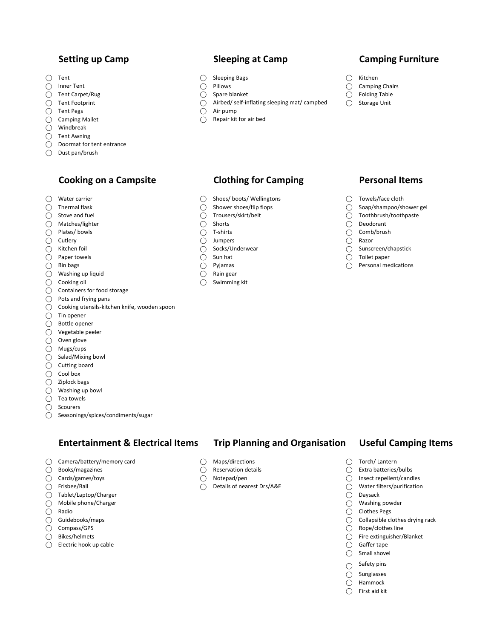- 
- 
- 
- 
- 
- 
- ⃝ Windbreak
- ⃝ Tent Awning

### ⃝ Doormat for tent entrance

⃝ Dust pan/brush

# Cooking on a Campsite **Clothing for Camping** Personal Items

- 
- 
- 
- 
- 
- 
- 
- $\bigcirc$  Paper towels  $\bigcirc$  Sun hat  $\bigcirc$  Sun hat  $\bigcirc$  Toilet paper
- 
- ◯ Washing up liquid  $\bigcirc$  Rain gear
- 
- ⃝ Containers for food storage
- ⃝ Pots and frying pans
- ⃝ Cooking utensils-kitchen knife, wooden spoon
- $\bigcirc$  Tin opener
- ⃝ Bottle opener
- ⃝ Vegetable peeler
- ⃝ Oven glove
- ⃝ Mugs/cups
- ⃝ Salad/Mixing bowl
- $\overline{O}$  Cutting board
- ⃝ Cool box
- ⃝ Ziplock bags
- $\bigcirc$  Washing up bowl
- $\bigcap$  Tea towels
- ⃝ Scourers
- ⃝ Seasonings/spices/condiments/sugar

## Entertainment & Electrical Items Trip Planning and Organisation Useful Camping Items

- ◯ Camera/battery/memory card  $\bigcirc$  Maps/directions  $\bigcirc$  Torch/ Lantern
- 
- 
- 
- $\bigcirc$  Tablet/Laptop/Charger  $\bigcirc$  Daysack
- $\bigcirc$  Mobile phone/Charger  $\bigcirc$  Washing powder
- 
- $\bigcirc$  Radio  $\bigcirc$  Clothes Pegs<br>  $\bigcirc$  Guidebooks/maps  $\bigcirc$  Collapsible cl
- 
- 
- $\bigcirc$  Electric hook up cable  $\bigcirc$  Gaffer tape

- 
- 
- ⃝ Cards/games/toys ⃝ Notepad/pen ⃝ Insect repellent/candles

- ◯ Tent ◯ Sleeping Bags ◯ Kitchen
	-
- ⃝ Inner Tent ⃝ Pillows ⃝ Camping Chairs ◯ Tent Carpet/Rug and the community of Spare blanket △ Folding Table
- ◯ Tent Footprint  $\bigcirc$  Tent Footprint and the self-inflating sleeping mat/ campbed  $\bigcirc$  Storage Unit
- ◯ Tent Pegs ◯ Air pump
- ◯ Camping Mallet ( ) Camping Mallet ( ) Camping Mallet ( ) Repair kit for air bed

# Setting up Camp Sleeping at Camp Camping Furniture

- 
- 
- 
- 

- $\bigcirc$  Water carrier  $\bigcirc$  Shoes/ boots/ Wellingtons  $\bigcirc$  Towels/face cloth
	-
	-
	-
	-
- ◯ Cutlery ◯ Cutlery ◯ Dumpers ◯ Razor
	-
	-
	-
	-
- $\bigcirc$  Cooking oil  $\bigcirc$  Swimming kit

- 
- ◯ Thermal flask and the state of the Shower shoes/flip flops and the state of Soap/shampoo/shower gel
- $\bigcirc$  Stove and fuel  $\bigcirc$  Trousers/skirt/belt  $\bigcirc$  Trousers/skirt/belt  $\bigcirc$  Toothbrush/toothpaste
- $\bigcap$  Matches/lighter  $\bigcap$  Shorts  $\bigcap$  Shorts  $\bigcap$  Deodorant
- $\bigcirc$  Plates/ bowls  $\bigcirc$  T-shirts  $\bigcirc$  Comb/brush
	-
- ⃝ Kitchen foil ⃝ Socks/Underwear ⃝ Sunscreen/chapstick
	-
- ⃝ Bin bags ⃝ Pyjamas ⃝ Personal medications

- 
- ⃝ Books/magazines ⃝ Reservation details ⃝ Extra batteries/bulbs
	-
	- $\bigcirc$  Water filters/purification
	-
	-
	-
	- $\bigcirc$  Collapsible clothes drying rack
- $\bigcirc$  Compass/GPS  $\bigcirc$  Rope/clothes line
- ◯ Bikes/helmets ◯ Fire extinguisher/Blanket
	- ⃝ Small shovel

 $\bigcap$  Safety pins ⃝ Sunglasses ⃝ Hammock ⃝ First aid kit